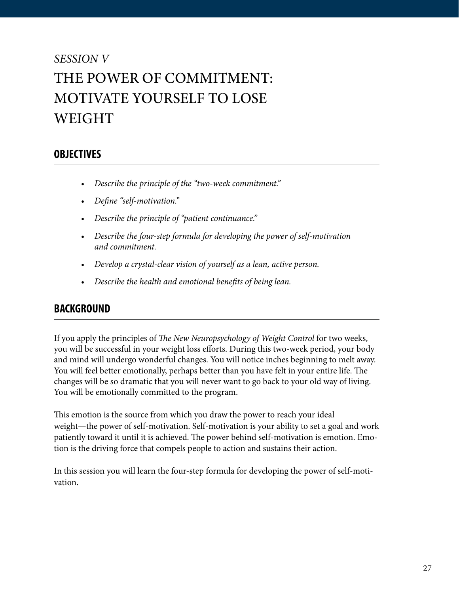# *SESSION V* THE POWER OF COMMITMENT: MOTIVATE YOURSELF TO LOSE WEIGHT

### **OBJECTIVES**

- *• Describe the principle of the "two-week commitment."*
- *• Define "self-motivation."*
- *• Describe the principle of "patient continuance."*
- *• Describe the four-step formula for developing the power of self-motivation and commitment.*
- *• Develop a crystal-clear vision of yourself as a lean, active person.*
- *• Describe the health and emotional benefits of being lean.*

#### **BACKGROUND**

If you apply the principles of *The New Neuropsychology of Weight Control* for two weeks, you will be successful in your weight loss efforts. During this two-week period, your body and mind will undergo wonderful changes. You will notice inches beginning to melt away. You will feel better emotionally, perhaps better than you have felt in your entire life. The changes will be so dramatic that you will never want to go back to your old way of living. You will be emotionally committed to the program.

This emotion is the source from which you draw the power to reach your ideal weight—the power of self-motivation. Self-motivation is your ability to set a goal and work patiently toward it until it is achieved. The power behind self-motivation is emotion. Emotion is the driving force that compels people to action and sustains their action.

In this session you will learn the four-step formula for developing the power of self-motivation.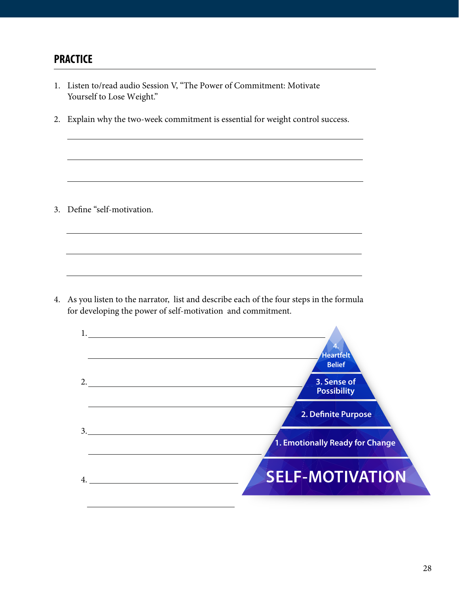#### **PRACTICE**

1. Listen to/read audio Session V, "The Power of Commitment: Motivate Yourself to Lose Weight." 2. Explain why the two-week commitment is essential for weight control success. 3. Define "self-motivation. 4. As you listen to the narrator, list and describe each of the four steps in the formula for developing the power of self-motivation and commitment. 1. 2. 3. 4. **SELF-MOTIVATION 1. Emotionally Ready for Change 2. Definite Purpose 3. Sense of Possibility 4. Heartfelt Belief**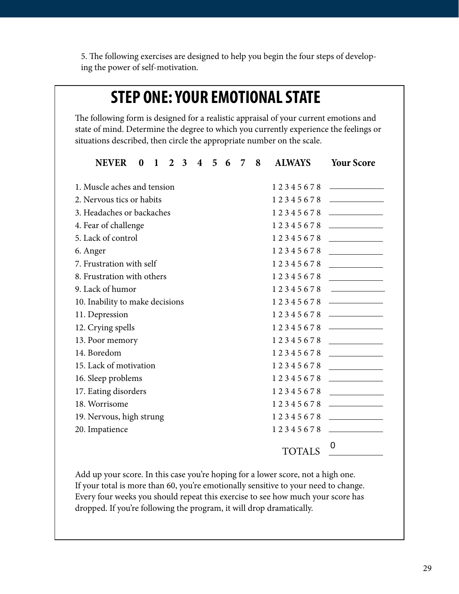5. The following exercises are designed to help you begin the four steps of developing the power of self-motivation.

## **STEP ONE: YOUR EMOTIONAL STATE**

The following form is designed for a realistic appraisal of your current emotions and state of mind. Determine the degree to which you currently experience the feelings or situations described, then circle the appropriate number on the scale.

| <b>NEVER</b>                            | $\bf{0}$ | $\mathbf 1$ | $\overline{2}$ | $\overline{3}$ | $\overline{\mathbf{4}}$ | $5^{\circ}$ | - 6                                          | 7 | 8 | <b>ALWAYS</b> | <b>Your Score</b>                                                                                                                                                                                                                    |
|-----------------------------------------|----------|-------------|----------------|----------------|-------------------------|-------------|----------------------------------------------|---|---|---------------|--------------------------------------------------------------------------------------------------------------------------------------------------------------------------------------------------------------------------------------|
| 1. Muscle aches and tension<br>12345678 |          |             |                |                |                         |             | <u> The Common State Common State Common</u> |   |   |               |                                                                                                                                                                                                                                      |
| 2. Nervous tics or habits<br>12345678   |          |             |                |                |                         |             |                                              |   |   |               |                                                                                                                                                                                                                                      |
| 3. Headaches or backaches               |          |             |                |                |                         |             |                                              |   |   |               |                                                                                                                                                                                                                                      |
| 4. Fear of challenge                    |          |             |                |                |                         |             |                                              |   |   | 12345678      |                                                                                                                                                                                                                                      |
| 5. Lack of control                      |          |             |                |                |                         |             |                                              |   |   | 12345678      |                                                                                                                                                                                                                                      |
| 6. Anger                                |          |             |                |                |                         |             |                                              |   |   |               | 12345678                                                                                                                                                                                                                             |
| 7. Frustration with self                |          |             |                |                |                         |             |                                              |   |   | 12345678      |                                                                                                                                                                                                                                      |
| 8. Frustration with others              |          |             |                |                |                         |             |                                              |   |   | 12345678      |                                                                                                                                                                                                                                      |
| 9. Lack of humor                        |          |             |                |                |                         |             |                                              |   |   | 12345678      | <u>and the company of the company of the company of the company of the company of the company of the company of the company of the company of the company of the company of the company of the company of the company of the com</u> |
| 10. Inability to make decisions         |          |             |                |                |                         |             |                                              |   |   | 12345678      |                                                                                                                                                                                                                                      |
| 11. Depression                          |          |             |                |                |                         |             |                                              |   |   | 12345678      |                                                                                                                                                                                                                                      |
| 12. Crying spells                       |          |             |                |                |                         |             |                                              |   |   | 12345678      |                                                                                                                                                                                                                                      |
| 13. Poor memory                         |          |             |                |                |                         |             |                                              |   |   | 12345678      | <u> a serie de la propincia de la propincia de la propincia de la propincia de la propincia de la propincia de la </u>                                                                                                               |
| 14. Boredom                             |          |             |                |                |                         |             |                                              |   |   | 12345678      |                                                                                                                                                                                                                                      |
| 15. Lack of motivation                  |          |             |                |                |                         |             |                                              |   |   | 12345678      |                                                                                                                                                                                                                                      |
| 16. Sleep problems                      |          |             |                |                |                         |             |                                              |   |   | 12345678      |                                                                                                                                                                                                                                      |
| 17. Eating disorders                    |          |             |                |                |                         |             |                                              |   |   | 12345678      |                                                                                                                                                                                                                                      |
| 18. Worrisome                           |          |             |                |                |                         |             |                                              |   |   | 12345678      | <u> 1990 - Johann Barn, mars ann an t-</u>                                                                                                                                                                                           |
| 19. Nervous, high strung                |          |             |                |                |                         |             |                                              |   |   | 12345678      | <u> 1999 - Johann Barbara, martx</u>                                                                                                                                                                                                 |
| 20. Impatience                          |          |             |                |                |                         |             |                                              |   |   | 12345678      | the control of the control of the                                                                                                                                                                                                    |
|                                         |          |             |                |                |                         |             |                                              |   |   | TOTALS        | 0                                                                                                                                                                                                                                    |

Add up your score. In this case you're hoping for a lower score, not a high one. If your total is more than 60, you're emotionally sensitive to your need to change. Every four weeks you should repeat this exercise to see how much your score has dropped. If you're following the program, it will drop dramatically.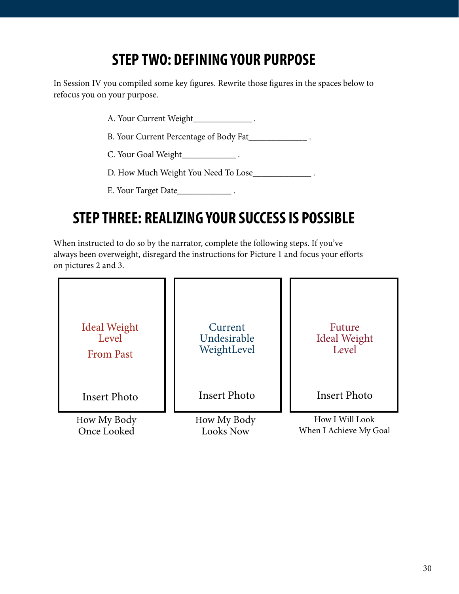# **STEP TWO: DEFINING YOUR PURPOSE**

In Session IV you compiled some key figures. Rewrite those figures in the spaces below to refocus you on your purpose.

A. Your Current Weight\_\_\_\_\_\_\_\_\_\_\_\_\_\_\_\_\_\_\_\_\_.

B. Your Current Percentage of Body Fat\_\_\_\_\_\_\_\_\_\_\_\_\_\_\_\_\_.

C. Your Goal Weight\_\_\_\_\_\_\_\_\_\_\_\_ .

D. How Much Weight You Need To Lose\_\_\_\_\_\_\_\_\_\_\_\_\_\_\_\_\_\_\_.

E. Your Target Date\_\_\_\_\_\_\_\_\_\_\_\_\_\_\_\_\_\_\_.

# **STEP THREE: REALIZING YOUR SUCCESS IS POSSIBLE**

When instructed to do so by the narrator, complete the following steps. If you've always been overweight, disregard the instructions for Picture 1 and focus your efforts on pictures 2 and 3.

| <b>Ideal Weight</b> | Current             | Future                 |
|---------------------|---------------------|------------------------|
| Level               | Undesirable         | <b>Ideal Weight</b>    |
| <b>From Past</b>    | WeightLevel         | Level                  |
| Insert Photo        | <b>Insert Photo</b> | <b>Insert Photo</b>    |
| How My Body         | How My Body         | How I Will Look        |
| Once Looked         | <b>Looks Now</b>    | When I Achieve My Goal |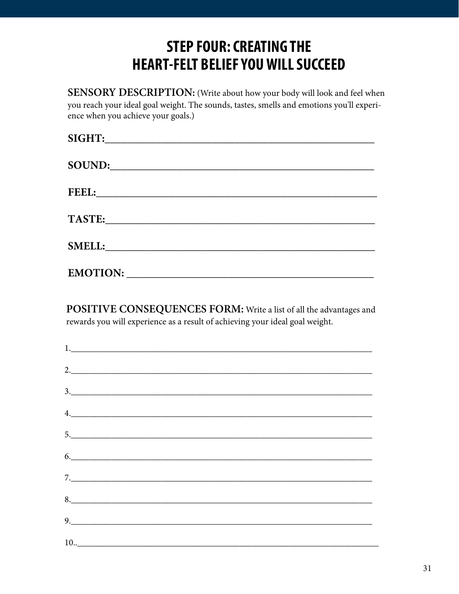## **STEP FOUR: CREATING THE HEART-FELT BELIEF YOU WILL SUCCEED**

SENSORY DESCRIPTION: (Write about how your body will look and feel when you reach your ideal goal weight. The sounds, tastes, smells and emotions you'll experience when you achieve your goals.)

| SIGHT:          |  |  |
|-----------------|--|--|
| SOUND:          |  |  |
| FEEL:           |  |  |
| <b>TASTE:</b>   |  |  |
| <b>SMELL:</b>   |  |  |
| <b>EMOTION:</b> |  |  |

POSITIVE CONSEQUENCES FORM: Write a list of all the advantages and rewards you will experience as a result of achieving your ideal goal weight.

| 2.                                                                                                                                                                                                                                                                                                                                                                                                                              |  |  |
|---------------------------------------------------------------------------------------------------------------------------------------------------------------------------------------------------------------------------------------------------------------------------------------------------------------------------------------------------------------------------------------------------------------------------------|--|--|
| $\begin{array}{c c c c c} \hline \rule{0pt}{16pt} \rule{0pt}{2.5ex} & \rule{0pt}{2.5ex} & \rule{0pt}{2.5ex} & \rule{0pt}{2.5ex} & \rule{0pt}{2.5ex} & \rule{0pt}{2.5ex} & \rule{0pt}{2.5ex} & \rule{0pt}{2.5ex} & \rule{0pt}{2.5ex} & \rule{0pt}{2.5ex} & \rule{0pt}{2.5ex} & \rule{0pt}{2.5ex} & \rule{0pt}{2.5ex} & \rule{0pt}{2.5ex} & \rule{0pt}{2.5ex} & \rule{0pt}{2.5ex} &$                                              |  |  |
| 4.                                                                                                                                                                                                                                                                                                                                                                                                                              |  |  |
| 5.                                                                                                                                                                                                                                                                                                                                                                                                                              |  |  |
| 6.                                                                                                                                                                                                                                                                                                                                                                                                                              |  |  |
|                                                                                                                                                                                                                                                                                                                                                                                                                                 |  |  |
|                                                                                                                                                                                                                                                                                                                                                                                                                                 |  |  |
| $9. \qquad \qquad 9. \qquad \qquad 9. \qquad \qquad 9. \qquad \qquad 9. \qquad \qquad 9. \qquad \qquad 9. \qquad \qquad 9. \qquad \qquad 9. \qquad \qquad 9. \qquad \qquad 9. \qquad \qquad 9. \qquad \qquad 9. \qquad \qquad 3. \qquad \qquad 3. \qquad \qquad 3. \qquad \qquad 3. \qquad \qquad 3. \qquad \qquad 3. \qquad \qquad 3. \qquad \qquad 3. \qquad \qquad 3. \qquad \qquad 3. \qquad \qquad 3. \qquad \qquad 3. \q$ |  |  |
|                                                                                                                                                                                                                                                                                                                                                                                                                                 |  |  |